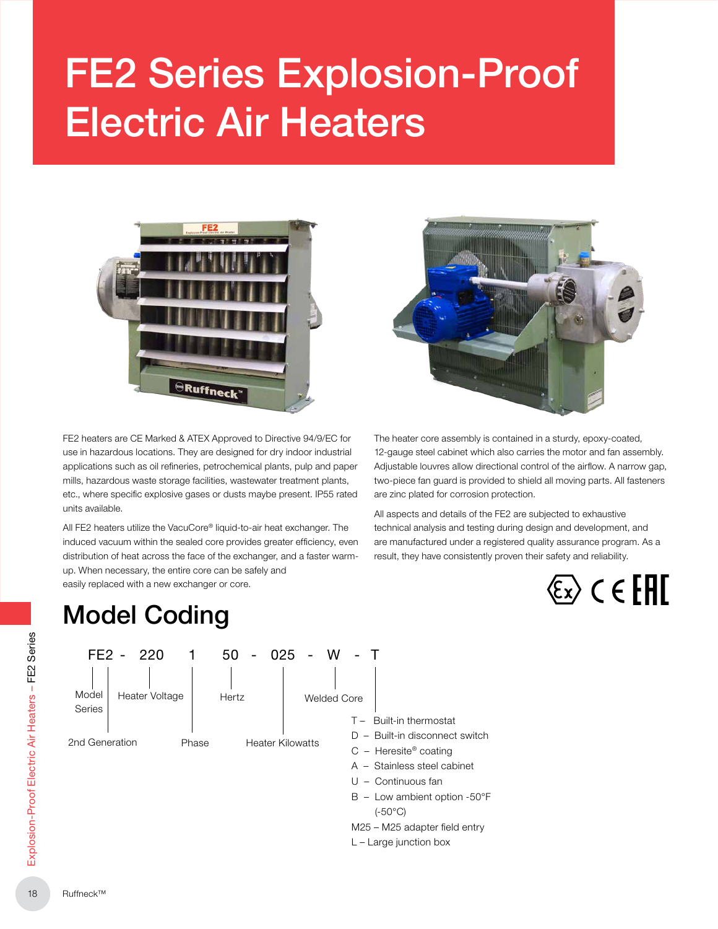# FE2 Series Explosion-Proof Electric Air Heaters



FE2 heaters are CE Marked & ATEX Approved to Directive 94/9/EC for use in hazardous locations. They are designed for dry indoor industrial applications such as oil refineries, petrochemical plants, pulp and paper mills, hazardous waste storage facilities, wastewater treatment plants, etc., where specific explosive gases or dusts maybe present. IP55 rated units available.

All FE2 heaters utilize the VacuCore® liquid-to-air heat exchanger. The induced vacuum within the sealed core provides greater efficiency, even distribution of heat across the face of the exchanger, and a faster warmup. When necessary, the entire core can be safely and easily replaced with a new exchanger or core.



The heater core assembly is contained in a sturdy, epoxy-coated, 12-gauge steel cabinet which also carries the motor and fan assembly. Adjustable louvres allow directional control of the airflow. A narrow gap, two-piece fan guard is provided to shield all moving parts. All fasteners are zinc plated for corrosion protection.

All aspects and details of the FE2 are subjected to exhaustive technical analysis and testing during design and development, and are manufactured under a registered quality assurance program. As a result, they have consistently proven their safety and reliability.



# Model Coding Model Coding

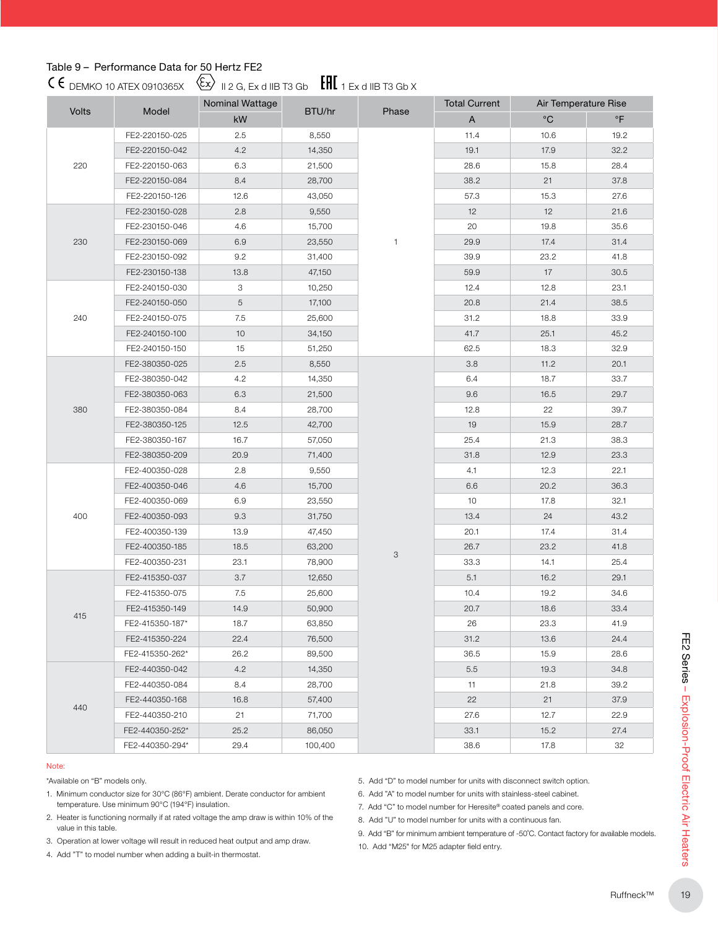# Table 9 – Performance Data for 50 Hertz FE2

 $C \in$  DEMKO 10 ATEX 0910365X  $\langle \overline{\mathbb{E}} \rangle$  11 2 G, Ex d IIB T3 Gb  $\langle \overline{\mathbb{E}} \mathbf{H} \rangle$  1 Ex d IIB T3 Gb X

| Volts |                 | Nominal Wattage |         |              | <b>Total Current</b>      | Air Temperature Rise |           |
|-------|-----------------|-----------------|---------|--------------|---------------------------|----------------------|-----------|
|       | Model           | kW              | BTU/hr  | Phase        | $\boldsymbol{\mathsf{A}}$ | $^{\circ}C$          | $\circ$ F |
|       | FE2-220150-025  | 2.5             | 8,550   |              | 11.4                      | 10.6                 | 19.2      |
|       | FE2-220150-042  | 4.2             | 14,350  |              | 19.1                      | 17.9                 | 32.2      |
| 220   | FE2-220150-063  | 6.3             | 21,500  |              | 28.6                      | 15.8                 | 28.4      |
|       | FE2-220150-084  | 8.4             | 28,700  |              | 38.2                      | 21                   | 37.8      |
|       | FE2-220150-126  | 12.6            | 43,050  |              | 57.3                      | 15.3                 | 27.6      |
|       | FE2-230150-028  | 2.8             | 9,550   |              | 12                        | 12                   | 21.6      |
|       | FE2-230150-046  | 4.6             | 15,700  |              | 20                        | 19.8                 | 35.6      |
| 230   | FE2-230150-069  | 6.9             | 23,550  | $\mathbf{1}$ | 29.9                      | 17.4                 | 31.4      |
|       | FE2-230150-092  | 9.2             | 31,400  |              | 39.9                      | 23.2                 | 41.8      |
|       | FE2-230150-138  | 13.8            | 47,150  |              | 59.9                      | 17                   | 30.5      |
|       | FE2-240150-030  | 3               | 10,250  |              | 12.4                      | 12.8                 | 23.1      |
|       | FE2-240150-050  | 5               | 17,100  |              | 20.8                      | 21.4                 | 38.5      |
| 240   | FE2-240150-075  | 7.5             | 25,600  |              | 31.2                      | 18.8                 | 33.9      |
|       | FE2-240150-100  | 10              | 34,150  |              | 41.7                      | 25.1                 | 45.2      |
|       | FE2-240150-150  | 15              | 51,250  |              | 62.5                      | 18.3                 | 32.9      |
|       | FE2-380350-025  | 2.5             | 8,550   |              | 3.8                       | 11.2                 | 20.1      |
|       | FE2-380350-042  | 4.2             | 14,350  |              | 6.4                       | 18.7                 | 33.7      |
|       | FE2-380350-063  | 6.3             | 21,500  |              | 9.6                       | 16.5                 | 29.7      |
| 380   | FE2-380350-084  | 8.4             | 28,700  |              | 12.8                      | 22                   | 39.7      |
|       | FE2-380350-125  | 12.5            | 42,700  |              | 19                        | 15.9                 | 28.7      |
|       | FE2-380350-167  | 16.7            | 57,050  |              | 25.4                      | 21.3                 | 38.3      |
|       | FE2-380350-209  | 20.9            | 71,400  |              | 31.8                      | 12.9                 | 23.3      |
|       | FE2-400350-028  | 2.8             | 9,550   |              | 4.1                       | 12.3                 | 22.1      |
|       | FE2-400350-046  | 4.6             | 15,700  |              | 6.6                       | 20.2                 | 36.3      |
|       | FE2-400350-069  | 6.9             | 23,550  |              | 10                        | 17.8                 | 32.1      |
| 400   | FE2-400350-093  | 9.3             | 31,750  |              | 13.4                      | 24                   | 43.2      |
|       | FE2-400350-139  | 13.9            | 47,450  |              | 20.1                      | 17.4                 | 31.4      |
|       | FE2-400350-185  | 18.5            | 63,200  |              | 26.7                      | 23.2                 | 41.8      |
|       | FE2-400350-231  | 23.1            | 78,900  | 3            | 33.3                      | 14.1                 | 25.4      |
|       | FE2-415350-037  | 3.7             | 12,650  |              | 5.1                       | 16.2                 | 29.1      |
|       | FE2-415350-075  | 7.5             | 25,600  |              | 10.4                      | 19.2                 | 34.6      |
|       | FE2-415350-149  | 14.9            | 50,900  |              | 20.7                      | 18.6                 | 33.4      |
| 415   | FE2-415350-187* | 18.7            | 63,850  |              | 26                        | 23.3                 | 41.9      |
|       | FE2-415350-224  | 22.4            | 76,500  |              | 31.2                      | 13.6                 | 24.4      |
|       | FE2-415350-262* | 26.2            | 89,500  |              | 36.5                      | 15.9                 | 28.6      |
|       | FE2-440350-042  | 4.2             | 14,350  |              | 5.5                       | 19.3                 | 34.8      |
|       | FE2-440350-084  | 8.4             | 28,700  |              | 11                        | 21.8                 | 39.2      |
|       | FE2-440350-168  | 16.8            | 57,400  |              | 22                        | 21                   | 37.9      |
| 440   | FE2-440350-210  | 21              | 71,700  |              | 27.6                      | 12.7                 | 22.9      |
|       | FE2-440350-252* | 25.2            | 86,050  |              | 33.1                      | 15.2                 | 27.4      |
|       | FE2-440350-294* | 29.4            | 100,400 |              | 38.6                      | 17.8                 | 32        |

#### Note:

- 1. Minimum conductor size for 30°C (86°F) ambient. Derate conductor for ambient temperature. Use minimum 90°C (194°F) insulation.
- 2. Heater is functioning normally if at rated voltage the amp draw is within 10% of the value in this table.

- 5. Add "D" to model number for units with disconnect switch option.
- 6. Add "A" to model number for units with stainless-steel cabinet.
- 7. Add "C" to model number for Heresite® coated panels and core.
- 8. Add "U" to model number for units with a continuous fan.
- 9. Add "B" for minimum ambient temperature of -50˚C. Contact factory for available models.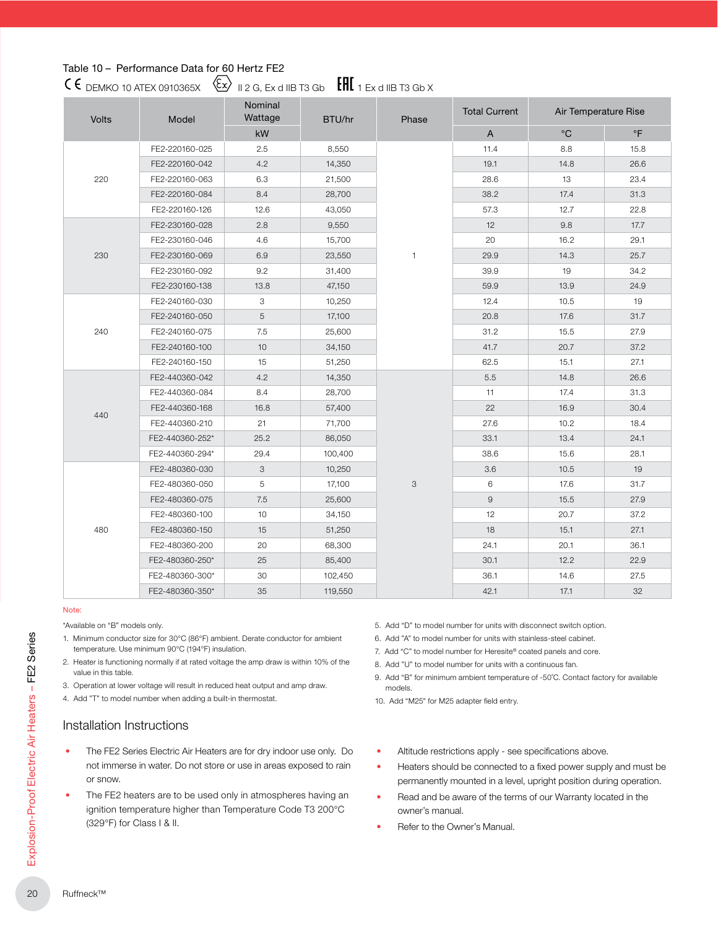## Table 10 – Performance Data for 60 Hertz FE2

# $\mathsf{CG}_{\mathsf{DEMKO}}$  10 ATEX 0910365X  $\langle \mathsf{Ex} \rangle$  12 G, Ex d IIB T3 Gb  $\mathsf{EHI}_1$  Ex d IIB T3 Gb X

| <b>Volts</b> | Model           | Nominal<br>Wattage | BTU/hr  | Phase | <b>Total Current</b> | Air Temperature Rise |           |
|--------------|-----------------|--------------------|---------|-------|----------------------|----------------------|-----------|
|              |                 | kW                 |         |       | A                    | $^{\circ}$ C         | $\circ$ F |
|              | FE2-220160-025  | 2.5                | 8,550   |       | 11.4                 | 8.8                  | 15.8      |
|              | FE2-220160-042  | 4.2                | 14,350  |       | 19.1                 | 14.8                 | 26.6      |
| 220          | FE2-220160-063  | 6.3                | 21,500  |       | 28.6                 | 13                   | 23.4      |
|              | FE2-220160-084  | 8.4                | 28,700  |       | 38.2                 | 17.4                 | 31.3      |
|              | FE2-220160-126  | 12.6               | 43,050  |       | 57.3                 | 12.7                 | 22.8      |
|              | FE2-230160-028  | 2.8                | 9,550   |       | 12                   | 9.8                  | 17.7      |
|              | FE2-230160-046  | 4.6                | 15,700  |       | 20                   | 16.2                 | 29.1      |
| 230          | FE2-230160-069  | 6.9                | 23,550  | 1     | 29.9                 | 14.3                 | 25.7      |
|              | FE2-230160-092  | 9.2                | 31,400  |       | 39.9                 | 19                   | 34.2      |
|              | FE2-230160-138  | 13.8               | 47,150  |       | 59.9                 | 13.9                 | 24.9      |
|              | FE2-240160-030  | 3                  | 10,250  |       | 12.4                 | 10.5                 | 19        |
|              | FE2-240160-050  | 5                  | 17,100  |       | 20.8                 | 17.6                 | 31.7      |
| 240          | FE2-240160-075  | 7.5                | 25,600  |       | 31.2                 | 15.5                 | 27.9      |
|              | FE2-240160-100  | 10                 | 34,150  |       | 41.7                 | 20.7                 | 37.2      |
|              | FE2-240160-150  | 15                 | 51,250  |       | 62.5                 | 15.1                 | 27.1      |
|              | FE2-440360-042  | 4.2                | 14,350  |       | 5.5                  | 14.8                 | 26.6      |
|              | FE2-440360-084  | 8.4                | 28,700  |       | 11                   | 17.4                 | 31.3      |
| 440          | FE2-440360-168  | 16.8               | 57,400  |       | 22                   | 16.9                 | 30.4      |
|              | FE2-440360-210  | 21                 | 71,700  |       | 27.6                 | 10.2                 | 18.4      |
|              | FE2-440360-252* | 25.2               | 86,050  |       | 33.1                 | 13.4                 | 24.1      |
|              | FE2-440360-294* | 29.4               | 100,400 |       | 38.6                 | 15.6                 | 28.1      |
|              | FE2-480360-030  | 3                  | 10,250  |       | 3.6                  | 10.5                 | 19        |
|              | FE2-480360-050  | 5                  | 17,100  | 3     | 6                    | 17.6                 | 31.7      |
|              | FE2-480360-075  | 7.5                | 25,600  |       | $\mathsf g$          | 15.5                 | 27.9      |
|              | FE2-480360-100  | 10                 | 34,150  |       | 12                   | 20.7                 | 37.2      |
| 480          | FE2-480360-150  | 15                 | 51,250  |       | 18                   | 15.1                 | 27.1      |
|              | FE2-480360-200  | 20                 | 68,300  |       | 24.1                 | 20.1                 | 36.1      |
|              | FE2-480360-250* | 25                 | 85,400  |       | 30.1                 | 12.2                 | 22.9      |
|              | FE2-480360-300* | 30                 | 102,450 |       | 36.1                 | 14.6                 | 27.5      |
|              | FE2-480360-350* | 35                 | 119,550 |       | 42.1                 | 17.1                 | 32        |

#### Note:

\*Available on "B" models only.

- 1. Minimum conductor size for 30°C (86°F) ambient. Derate conductor for ambient temperature. Use minimum 90°C (194°F) insulation.
- 2. Heater is functioning normally if at rated voltage the amp draw is within 10% of the value in this table.
- 3. Operation at lower voltage will result in reduced heat output and amp draw.
- 4. Add "T" to model number when adding a built-in thermostat.

# Installation Instructions

- The FE2 Series Electric Air Heaters are for dry indoor use only. Do not immerse in water. Do not store or use in areas exposed to rain or snow.
- The FE2 heaters are to be used only in atmospheres having an ignition temperature higher than Temperature Code T3 200°C (329°F) for Class I & II.
- 5. Add "D" to model number for units with disconnect switch option.
- 6. Add "A" to model number for units with stainless-steel cabinet.
- 7. Add "C" to model number for Heresite® coated panels and core.
- 8. Add "U" to model number for units with a continuous fan.
- 9. Add "B" for minimum ambient temperature of -50˚C. Contact factory for available models.
- 10. Add "M25" for M25 adapter field entry.
- Altitude restrictions apply see specifications above.
- Heaters should be connected to a fixed power supply and must be permanently mounted in a level, upright position during operation.
- Read and be aware of the terms of our Warranty located in the owner's manual.
- Refer to the Owner's Manual.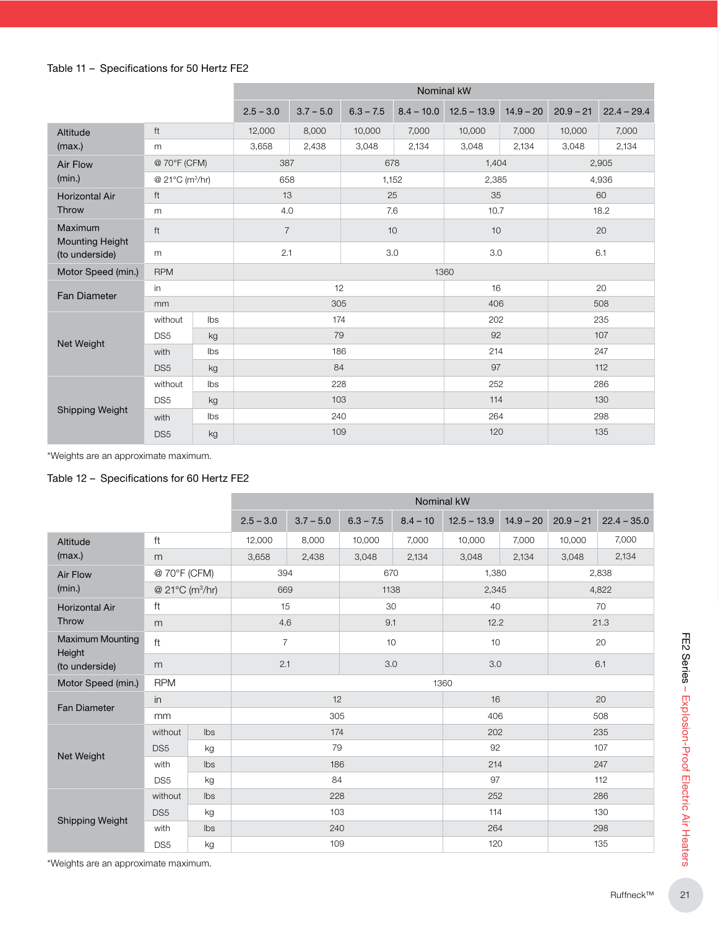### Table 11 – Specifications for 50 Hertz FE2

|                                   |                             | Nominal kW     |                |             |             |              |               |             |             |               |  |
|-----------------------------------|-----------------------------|----------------|----------------|-------------|-------------|--------------|---------------|-------------|-------------|---------------|--|
|                                   |                             |                | $2.5 - 3.0$    | $3.7 - 5.0$ | $6.3 - 7.5$ | $8.4 - 10.0$ | $12.5 - 13.9$ | $14.9 - 20$ | $20.9 - 21$ | $22.4 - 29.4$ |  |
| Altitude                          | ft                          |                | 12,000         | 8,000       | 10,000      | 7,000        | 10,000        | 7,000       | 10,000      | 7,000         |  |
| (max.)                            | m                           |                | 3,658          | 2,438       | 3,048       | 2,134        | 3,048         | 2,134       | 3,048       | 2,134         |  |
| <b>Air Flow</b>                   | @ 70°F (CFM)                |                | 387            |             | 678         |              | 1,404         |             | 2,905       |               |  |
| (min.)                            | @ 21°C (m <sup>3</sup> /hr) |                | 658            |             |             | 1,152        |               | 2,385       |             | 4,936         |  |
| <b>Horizontal Air</b>             | ft                          |                | 13             |             | 25          |              | 35            |             |             | 60            |  |
| Throw                             | m                           |                | 4.0            |             | 7.6         |              | 10.7          |             |             | 18.2          |  |
| Maximum<br><b>Mounting Height</b> | ft                          |                | $\overline{7}$ |             | 10          |              | 10            |             | 20          |               |  |
| (to underside)                    | m                           |                | 2.1            |             | 3.0         |              | 3.0           |             | 6.1         |               |  |
| Motor Speed (min.)                | <b>RPM</b>                  |                | 1360           |             |             |              |               |             |             |               |  |
| <b>Fan Diameter</b>               | in                          |                | 12             |             |             | 16           |               | 20          |             |               |  |
|                                   | mm                          |                | 305            |             |             | 406          |               | 508         |             |               |  |
|                                   | without                     | <b>lbs</b>     |                | 174         |             |              | 202           |             | 235         |               |  |
| Net Weight                        | DS <sub>5</sub>             | kg             |                | 79          |             |              | 92            |             | 107         |               |  |
|                                   | with                        | $\mathsf{lbs}$ |                | 186         |             |              | 214           |             | 247         |               |  |
|                                   | DS <sub>5</sub>             | kg             |                | 84          |             |              | 97            |             | 112         |               |  |
|                                   | without                     | Ibs            |                | 228         |             |              | 252           |             | 286         |               |  |
|                                   | DS <sub>5</sub>             | kg             |                | 103         |             |              | 114           |             | 130         |               |  |
| <b>Shipping Weight</b>            | with                        | Ibs            |                | 240         |             |              | 264           |             | 298         |               |  |
|                                   | DS <sub>5</sub>             | kg             |                | 109         |             |              | 120           |             | 135         |               |  |

\*Weights are an approximate maximum.

## Table 12 – Specifications for 60 Hertz FE2

|                                   |                             |     |                |             |             |            | Nominal kW    |             |             |               |
|-----------------------------------|-----------------------------|-----|----------------|-------------|-------------|------------|---------------|-------------|-------------|---------------|
|                                   |                             |     | $2.5 - 3.0$    | $3.7 - 5.0$ | $6.3 - 7.5$ | $8.4 - 10$ | $12.5 - 13.9$ | $14.9 - 20$ | $20.9 - 21$ | $22.4 - 35.0$ |
| Altitude                          | ft                          |     | 12,000         | 8,000       | 10,000      | 7,000      | 10,000        | 7,000       | 10,000      | 7,000         |
| (max.)                            | m                           |     | 3,658          | 2,438       | 3,048       | 2,134      | 3,048         | 2,134       | 3,048       | 2,134         |
| Air Flow                          | @ 70°F (CFM)                |     | 394            |             | 670         |            | 1,380         |             |             | 2,838         |
| (min.)                            | @ 21°C (m <sup>3</sup> /hr) |     | 669            |             | 1138        |            | 2,345         |             |             | 4,822         |
| <b>Horizontal Air</b>             | ft                          |     | 15             |             | 30          |            | 40            |             |             | 70            |
| Throw                             | m                           |     | 4.6            |             | 9.1         |            | 12.2          |             |             | 21.3          |
| <b>Maximum Mounting</b><br>Height | $\ensuremath{\mathsf{ft}}$  |     | $\overline{7}$ |             | 10          |            | 10            |             |             | 20            |
| (to underside)                    | m                           |     | 2.1            |             | 3.0         |            | 3.0           |             |             | 6.1           |
| Motor Speed (min.)                | <b>RPM</b>                  |     |                |             |             |            | 1360          |             |             |               |
|                                   | in                          |     |                | 12          |             |            | 16            |             | 20          |               |
| Fan Diameter                      | mm                          |     | 305            |             |             |            | 406           |             | 508         |               |
|                                   | without                     | Ibs |                | 174         |             |            | 202           |             | 235         |               |
| Net Weight                        | DS <sub>5</sub>             | kg  |                | 79          |             |            | 92            |             | 107         |               |
|                                   | with                        | Ibs | 186            |             |             |            | 214           |             | 247         |               |
|                                   | DS <sub>5</sub>             | kg  |                |             | 84          |            | 97            |             | 112         |               |
|                                   | without                     | Ibs |                | 228         |             |            | 252           |             |             | 286           |
| Shipping Weight                   | DS <sub>5</sub>             | kg  |                | 103         |             |            | 114           |             | 130         |               |
|                                   | with                        | Ibs |                | 240         |             |            | 264           |             | 298         |               |
|                                   | DS <sub>5</sub>             | kg  |                | 109         |             |            | 120           |             | 135         |               |